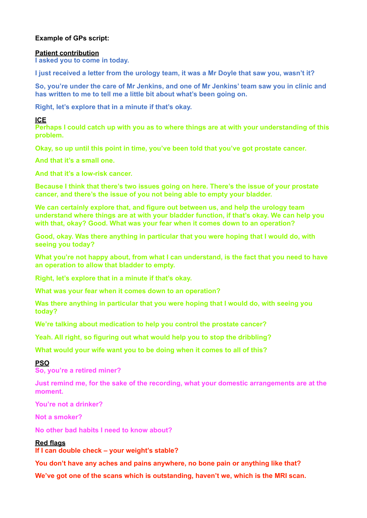# **Example of GPs script:**

### **Patient contribution**

**I asked you to come in today.** 

**I just received a letter from the urology team, it was a Mr Doyle that saw you, wasn't it?** 

**So, you're under the care of Mr Jenkins, and one of Mr Jenkins' team saw you in clinic and has written to me to tell me a little bit about what's been going on.** 

**Right, let's explore that in a minute if that's okay.** 

#### **ICE**

**Perhaps I could catch up with you as to where things are at with your understanding of this problem.** 

**Okay, so up until this point in time, you've been told that you've got prostate cancer.** 

**And that it's a small one.** 

**And that it's a low-risk cancer.** 

**Because I think that there's two issues going on here. There's the issue of your prostate cancer, and there's the issue of you not being able to empty your bladder.** 

**We can certainly explore that, and figure out between us, and help the urology team understand where things are at with your bladder function, if that's okay. We can help you with that, okay? Good. What was your fear when it comes down to an operation?** 

**Good, okay. Was there anything in particular that you were hoping that I would do, with seeing you today?** 

**What you're not happy about, from what I can understand, is the fact that you need to have an operation to allow that bladder to empty.** 

**Right, let's explore that in a minute if that's okay.** 

**What was your fear when it comes down to an operation?** 

**Was there anything in particular that you were hoping that I would do, with seeing you today?** 

**We're talking about medication to help you control the prostate cancer?** 

**Yeah. All right, so figuring out what would help you to stop the dribbling?** 

**What would your wife want you to be doing when it comes to all of this?** 

### **PSO**

**So, you're a retired miner?** 

**Just remind me, for the sake of the recording, what your domestic arrangements are at the moment.** 

**You're not a drinker?** 

**Not a smoker?** 

**No other bad habits I need to know about?** 

### **Red flags**

**If I can double check – your weight's stable?** 

**You don't have any aches and pains anywhere, no bone pain or anything like that?** 

**We've got one of the scans which is outstanding, haven't we, which is the MRI scan.**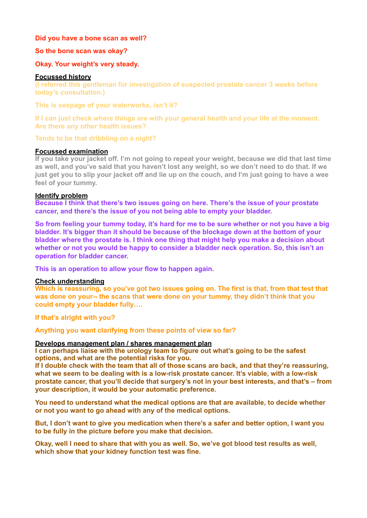## **Did you have a bone scan as well?**

### **So the bone scan was okay?**

# **Okay. Your weight's very steady.**

### **Focussed history**

**(I referred this gentleman for investigation of suspected prostate cancer 3 weeks before today's consultation.)** 

**This is seepage of your waterworks, isn't it?**

**If I can just check where things are with your general health and your life at the moment. Are there any other health issues?**

**Tends to be that dribbling on a night?**

# **Focussed examination**

**If you take your jacket off. I'm not going to repeat your weight, because we did that last time as well, and you've said that you haven't lost any weight, so we don't need to do that. If we just get you to slip your jacket off and lie up on the couch, and I'm just going to have a wee feel of your tummy.** 

# **Identify problem**

**Because I think that there's two issues going on here. There's the issue of your prostate cancer, and there's the issue of you not being able to empty your bladder.** 

**So from feeling your tummy today, it's hard for me to be sure whether or not you have a big bladder. It's bigger than it should be because of the blockage down at the bottom of your bladder where the prostate is. I think one thing that might help you make a decision about whether or not you would be happy to consider a bladder neck operation. So, this isn't an operation for bladder cancer.** 

**This is an operation to allow your flow to happen again.** 

### **Check understanding**

**Which is reassuring, so you've got two issues going on. The first is that, from that test that was done on your-- the scans that were done on your tummy, they didn't think that you could empty your bladder fully….** 

**If that's alright with you?** 

**Anything you want clarifying from these points of view so far?** 

### **Develops management plan / shares management plan**

**I can perhaps liaise with the urology team to figure out what's going to be the safest options, and what are the potential risks for you.** 

**If I double check with the team that all of those scans are back, and that they're reassuring, what we seem to be dealing with is a low-risk prostate cancer. It's viable, with a low-risk prostate cancer, that you'll decide that surgery's not in your best interests, and that's – from your description, it would be your automatic preference.** 

**You need to understand what the medical options are that are available, to decide whether or not you want to go ahead with any of the medical options.** 

**But, I don't want to give you medication when there's a safer and better option, I want you to be fully in the picture before you make that decision.**

**Okay, well I need to share that with you as well. So, we've got blood test results as well, which show that your kidney function test was fine.**